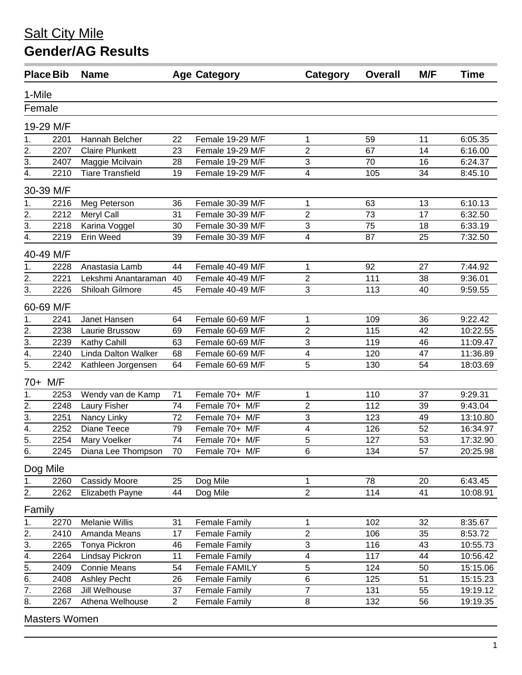|                                      | <b>Place Bib</b> | <b>Name</b>             |                | <b>Age Category</b>  | Category                     | <b>Overall</b> | M/F             | Time     |  |
|--------------------------------------|------------------|-------------------------|----------------|----------------------|------------------------------|----------------|-----------------|----------|--|
| 1-Mile                               |                  |                         |                |                      |                              |                |                 |          |  |
| Female                               |                  |                         |                |                      |                              |                |                 |          |  |
|                                      | 19-29 M/F        |                         |                |                      |                              |                |                 |          |  |
| 1.                                   | 2201             | Hannah Belcher          | 22             | Female 19-29 M/F     | 1                            | 59             | 11              | 6:05.35  |  |
| 2.                                   | 2207             | <b>Claire Plunkett</b>  | 23             | Female 19-29 M/F     | $\overline{2}$               | 67             | 14              | 6:16.00  |  |
| 3.                                   | 2407             | Maggie Mcilvain         | 28             | Female 19-29 M/F     | 3                            | 70             | 16              | 6:24.37  |  |
| 4.                                   | 2210             | <b>Tiare Transfield</b> | 19             | Female 19-29 M/F     | 4                            | 105            | 34              | 8:45.10  |  |
|                                      |                  |                         |                |                      |                              |                |                 |          |  |
|                                      | 30-39 M/F        |                         |                |                      |                              |                |                 |          |  |
| 1.                                   | 2216             | Meg Peterson            | 36             | Female 30-39 M/F     | 1                            | 63             | 13              | 6:10.13  |  |
| $\overline{2}$ .<br>$\overline{3}$ . | 2212             | Meryl Call              | 31             | Female 30-39 M/F     | $\overline{2}$               | 73             | 17              | 6:32.50  |  |
|                                      | 2218             | Karina Voggel           | 30             | Female 30-39 M/F     | 3                            | 75             | 18              | 6:33.19  |  |
| 4.                                   | 2219             | Erin Weed               | 39             | Female 30-39 M/F     | 4                            | 87             | 25              | 7:32.50  |  |
|                                      | 40-49 M/F        |                         |                |                      |                              |                |                 |          |  |
| 1.                                   | 2228             | Anastasia Lamb          | 44             | Female 40-49 M/F     | $\mathbf{1}$                 | 92             | 27              | 7:44.92  |  |
| 2.                                   | 2221             | Lekshmi Anantaraman     | 40             | Female 40-49 M/F     | 2                            | 111            | 38              | 9:36.01  |  |
| 3.                                   | 2226             | Shiloah Gilmore         | 45             | Female 40-49 M/F     | 3                            | 113            | 40              | 9:59.55  |  |
|                                      | 60-69 M/F        |                         |                |                      |                              |                |                 |          |  |
| 1.                                   | 2241             | Janet Hansen            | 64             | Female 60-69 M/F     | 1                            | 109            | 36              | 9:22.42  |  |
| 2.                                   | 2238             | Laurie Brussow          | 69             | Female 60-69 M/F     | $\overline{2}$               | 115            | 42              | 10:22.55 |  |
| $\overline{3}$ .                     | 2239             | Kathy Cahill            | 63             | Female 60-69 M/F     | 3                            | 119            | 46              | 11:09.47 |  |
| $\overline{4}$ .                     | 2240             | Linda Dalton Walker     | 68             | Female 60-69 M/F     | 4                            | 120            | 47              | 11:36.89 |  |
| 5.                                   | 2242             | Kathleen Jorgensen      | 64             | Female 60-69 M/F     | 5                            | 130            | 54              | 18:03.69 |  |
|                                      | 70+ M/F          |                         |                |                      |                              |                |                 |          |  |
| 1.                                   | 2253             | Wendy van de Kamp       | 71             | Female 70+ M/F       | 1                            | 110            | 37              | 9:29.31  |  |
| 2.                                   | 2248             | Laury Fisher            | 74             | Female 70+ M/F       | 2                            | 112            | 39              | 9:43.04  |  |
| $\overline{3}$ .                     | 2251             | Nancy Linky             | 72             | Female 70+ M/F       | 3                            | 123            | 49              | 13:10.80 |  |
| $\overline{4}$ .                     | 2252             | Diane Teece             | 79             | Female 70+ M/F       | 4                            | 126            | 52              | 16:34.97 |  |
| $\overline{5}$ .                     | 2254             | Mary Voelker            | 74             | Female 70+ M/F       | 5                            | 127            | 53              | 17:32.90 |  |
| $\overline{6}$ .                     | 2245             | Diana Lee Thompson      | 70             | Female 70+ M/F       | 6                            | 134            | $\overline{57}$ | 20:25.98 |  |
|                                      |                  |                         |                |                      |                              |                |                 |          |  |
| Dog Mile                             |                  |                         |                |                      |                              | 78             |                 | 6:43.45  |  |
| 1.                                   | 2260<br>2262     | <b>Cassidy Moore</b>    | 25             | Dog Mile             | 1<br>$\overline{\mathbf{c}}$ | 114            | 20<br>41        |          |  |
| 2.                                   |                  | Elizabeth Payne         | 44             | Dog Mile             |                              |                |                 | 10:08.91 |  |
| Family                               |                  |                         |                |                      |                              |                |                 |          |  |
| 1.                                   | 2270             | <b>Melanie Willis</b>   | 31             | <b>Female Family</b> | 1                            | 102            | 32              | 8:35.67  |  |
| 2.                                   | 2410             | Amanda Means            | 17             | <b>Female Family</b> | $\overline{\mathbf{c}}$      | 106            | 35              | 8:53.72  |  |
| 3.                                   | 2265             | Tonya Pickron           | 46             | Female Family        | 3                            | 116            | 43              | 10:55.73 |  |
| 4.                                   | 2264             | Lindsay Pickron         | 11             | Female Family        | 4                            | 117            | 44              | 10:56.42 |  |
| $\overline{5}$ .                     | 2409             | <b>Connie Means</b>     | 54             | Female FAMILY        | 5                            | 124            | 50              | 15:15.06 |  |
| 6.                                   | 2408             | <b>Ashley Pecht</b>     | 26             | <b>Female Family</b> | 6                            | 125            | 51              | 15:15.23 |  |
| 7.                                   | 2268             | Jill Welhouse           | 37             | <b>Female Family</b> | 7                            | 131            | 55              | 19:19.12 |  |
| 8.                                   | 2267             | Athena Welhouse         | $\overline{2}$ | <b>Female Family</b> | 8                            | 132            | 56              | 19:19.35 |  |
|                                      | Mootora Waman    |                         |                |                      |                              |                |                 |          |  |

Masters Women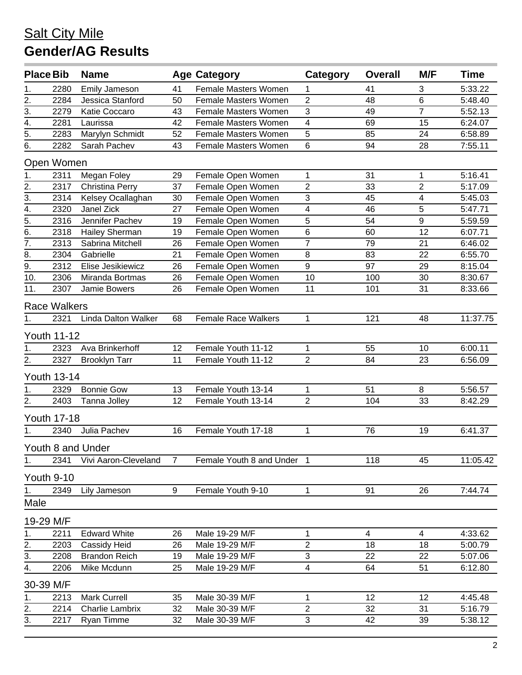| <b>Place Bib</b>                              |                     | <b>Name</b>                |                | <b>Age Category</b>         | Category         | <b>Overall</b> | M/F              | <b>Time</b> |  |
|-----------------------------------------------|---------------------|----------------------------|----------------|-----------------------------|------------------|----------------|------------------|-------------|--|
| 1.                                            | 2280                | <b>Emily Jameson</b>       | 41             | Female Masters Women        | 1                | 41             | 3                | 5:33.22     |  |
| $\overline{2}$ .                              | 2284                | Jessica Stanford           | 50             | <b>Female Masters Women</b> | $\overline{2}$   | 48             | 6                | 5:48.40     |  |
| $\overline{3}$ .                              | 2279                | Katie Coccaro              | 43             | <b>Female Masters Women</b> | 3                | 49             | $\overline{7}$   | 5:52.13     |  |
| $\overline{4}$ .                              | 2281                | Laurissa                   | 42             | <b>Female Masters Women</b> | 4                | 69             | 15               | 6:24.07     |  |
| 5.                                            | 2283                | Marylyn Schmidt            | 52             | <b>Female Masters Women</b> | 5                | 85             | 24               | 6:58.89     |  |
| 6.                                            | 2282                | Sarah Pachev               | 43             | Female Masters Women        | $\,6\,$          | 94             | 28               | 7:55.11     |  |
|                                               | Open Women          |                            |                |                             |                  |                |                  |             |  |
| 1.                                            | 2311                | Megan Foley                | 29             | Female Open Women           | 1                | 31             | 1                | 5:16.41     |  |
| 2.                                            | 2317                | <b>Christina Perry</b>     | 37             | Female Open Women           | $\overline{2}$   | 33             | $\overline{2}$   | 5:17.09     |  |
| $\overline{3}$ .                              | 2314                | Kelsey Ocallaghan          | 30             | Female Open Women           | 3                | 45             | 4                | 5:45.03     |  |
| $\frac{4}{\overline{5}}$ .<br>$\frac{5}{6}$ . | 2320                | Janel Zick                 | 27             | Female Open Women           | 4                | 46             | $\sqrt{5}$       | 5:47.71     |  |
|                                               | 2316                | Jennifer Pachev            | 19             | Female Open Women           | 5                | 54             | $\boldsymbol{9}$ | 5:59.59     |  |
|                                               | 2318                | Hailey Sherman             | 19             | Female Open Women           | $6\phantom{1}$   | 60             | 12               | 6:07.71     |  |
| $\overline{7}$ .                              | 2313                | Sabrina Mitchell           | 26             | Female Open Women           | $\overline{7}$   | 79             | 21               | 6:46.02     |  |
| 8.                                            | 2304                | Gabrielle                  | 21             | Female Open Women           | $\, 8$           | 83             | 22               | 6:55.70     |  |
| $\overline{9}$ .                              | 2312                | Elise Jesikiewicz          | 26             | Female Open Women           | $\boldsymbol{9}$ | 97             | 29               | 8:15.04     |  |
| 10.                                           | 2306                | Miranda Bortmas            | 26             | Female Open Women           | 10               | 100            | 30               | 8:30.67     |  |
| 11.                                           | 2307                | Jamie Bowers               | 26             | Female Open Women           | 11               | 101            | 31               | 8:33.66     |  |
|                                               | <b>Race Walkers</b> |                            |                |                             |                  |                |                  |             |  |
| 1.                                            | 2321                | <b>Linda Dalton Walker</b> | 68             | <b>Female Race Walkers</b>  | 1                | 121            | 48               | 11:37.75    |  |
|                                               | <b>Youth 11-12</b>  |                            |                |                             |                  |                |                  |             |  |
| 1.                                            | 2323                | Ava Brinkerhoff            | 12             | Female Youth 11-12          | 1                | 55             | 10               | 6:00.11     |  |
| 2.                                            | 2327                | <b>Brooklyn Tarr</b>       | 11             | Female Youth 11-12          | $\overline{2}$   | 84             | 23               | 6:56.09     |  |
|                                               | <b>Youth 13-14</b>  |                            |                |                             |                  |                |                  |             |  |
| 1.                                            | 2329                | <b>Bonnie Gow</b>          | 13             | Female Youth 13-14          | 1                | 51             | 8                | 5:56.57     |  |
| 2.                                            | 2403                | Tanna Jolley               | 12             | Female Youth 13-14          | $\overline{2}$   | 104            | 33               | 8:42.29     |  |
|                                               |                     |                            |                |                             |                  |                |                  |             |  |
|                                               | <b>Youth 17-18</b>  |                            |                |                             |                  |                |                  |             |  |
| 1.                                            | 2340                | Julia Pachev               | 16             | Female Youth 17-18          | 1                | 76             | 19               | 6:41.37     |  |
|                                               |                     | Youth 8 and Under          |                |                             |                  |                |                  |             |  |
| 1.                                            | 2341                | Vivi Aaron-Cleveland       | $\overline{7}$ | Female Youth 8 and Under 1  |                  | 118            | 45               | 11:05.42    |  |
| Youth 9-10                                    |                     |                            |                |                             |                  |                |                  |             |  |
| 1.                                            | 2349                | Lily Jameson               | 9              | Female Youth 9-10           | 1                | 91             | 26               | 7:44.74     |  |
| Male                                          |                     |                            |                |                             |                  |                |                  |             |  |
| 19-29 M/F                                     |                     |                            |                |                             |                  |                |                  |             |  |
| 1.                                            | 2211                | <b>Edward White</b>        | 26             | Male 19-29 M/F              | 1                | 4              | 4                | 4:33.62     |  |
| 2.                                            | 2203                | Cassidy Heid               | 26             | Male 19-29 M/F              | $\overline{2}$   | 18             | 18               | 5:00.79     |  |
| $\overline{3}$ .                              | 2208                | <b>Brandon Reich</b>       | 19             | Male 19-29 M/F              | 3                | 22             | 22               | 5:07.06     |  |
| $\overline{4}$ .                              | 2206                | Mike Mcdunn                | 25             | Male 19-29 M/F              | 4                | 64             | 51               | 6:12.80     |  |
| 30-39 M/F                                     |                     |                            |                |                             |                  |                |                  |             |  |
| 1.                                            | 2213                | <b>Mark Currell</b>        | 35             | Male 30-39 M/F              | 1                | 12             | 12               | 4:45.48     |  |
| 2.                                            | 2214                | <b>Charlie Lambrix</b>     | 32             | Male 30-39 M/F              | $\sqrt{2}$       | 32             | 31               | 5:16.79     |  |
| 3.                                            | 2217                | Ryan Timme                 | 32             | Male 30-39 M/F              | 3                | 42             | 39               | 5:38.12     |  |
|                                               |                     |                            |                |                             |                  |                |                  |             |  |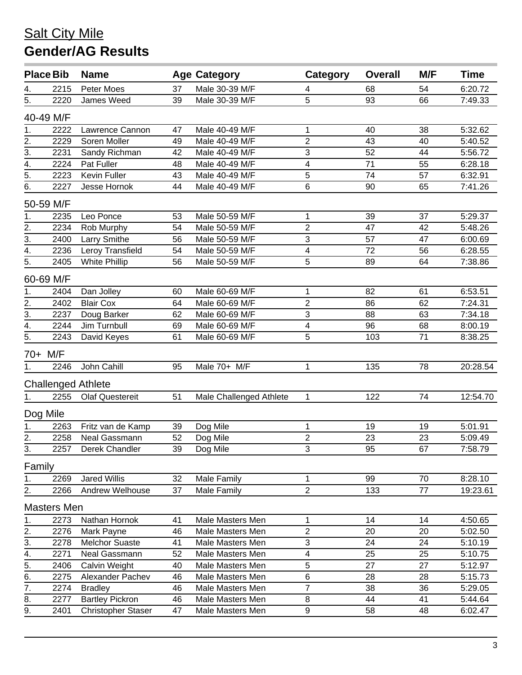|                                       | <b>Place Bib</b>   | <b>Name</b>                            |          | <b>Age Category</b>     | Category                | <b>Overall</b> | M/F      | <b>Time</b> |
|---------------------------------------|--------------------|----------------------------------------|----------|-------------------------|-------------------------|----------------|----------|-------------|
|                                       | 2215               | Peter Moes                             | 37       | Male 30-39 M/F          | 4                       | 68             | 54       | 6:20.72     |
| $\frac{4}{5}$                         | 2220               | James Weed                             | 39       | Male 30-39 M/F          | 5                       | 93             | 66       | 7:49.33     |
|                                       | 40-49 M/F          |                                        |          |                         |                         |                |          |             |
| 1.                                    | 2222               | Lawrence Cannon                        | 47       | Male 40-49 M/F          | 1                       | 40             | 38       | 5:32.62     |
|                                       | 2229               | Soren Moller                           | 49       | Male 40-49 M/F          | $\overline{2}$          | 43             | 40       | 5:40.52     |
| $\frac{2.1}{3.4}$<br>$\frac{4.1}{5.}$ | 2231               | Sandy Richman                          | 42       | Male 40-49 M/F          | 3                       | 52             | 44       | 5:56.72     |
|                                       | 2224               | Pat Fuller                             | 48       | Male 40-49 M/F          | $\overline{\mathbf{4}}$ | 71             | 55       | 6:28.18     |
|                                       | 2223               | Kevin Fuller                           | 43       | Male 40-49 M/F          | 5                       | 74             | 57       | 6:32.91     |
| $\overline{6}$ .                      | 2227               | Jesse Hornok                           | 44       | Male 40-49 M/F          | 6                       | 90             | 65       | 7:41.26     |
|                                       | 50-59 M/F          |                                        |          |                         |                         |                |          |             |
| $\overline{1}$ .                      | 2235               | Leo Ponce                              | 53       | Male 50-59 M/F          | 1                       | 39             | 37       | 5:29.37     |
|                                       | 2234               | Rob Murphy                             | 54       | Male 50-59 M/F          | $\overline{2}$          | 47             | 42       | 5:48.26     |
| $\frac{2}{3}$                         | 2400               | Larry Smithe                           | 56       | Male 50-59 M/F          | 3                       | 57             | 47       | 6:00.69     |
| $\overline{4}$ .                      | 2236               | Leroy Transfield                       | 54       | Male 50-59 M/F          | $\overline{\mathbf{4}}$ | 72             | 56       | 6:28.55     |
| $\overline{5}$ .                      | 2405               | <b>White Phillip</b>                   | 56       | Male 50-59 M/F          | 5                       | 89             | 64       | 7:38.86     |
|                                       | 60-69 M/F          |                                        |          |                         |                         |                |          |             |
| 1.                                    | 2404               | Dan Jolley                             | 60       | Male 60-69 M/F          | 1                       | 82             | 61       | 6:53.51     |
| $\overline{2}$ .                      | 2402               | <b>Blair Cox</b>                       | 64       | Male 60-69 M/F          | $\overline{2}$          | 86             | 62       | 7:24.31     |
| $\overline{3}$ .                      | 2237               | Doug Barker                            | 62       | Male 60-69 M/F          | 3                       | 88             | 63       | 7:34.18     |
| $\overline{4}$ .                      | 2244               | Jim Turnbull                           | 69       | Male 60-69 M/F          | 4                       | 96             | 68       | 8:00.19     |
| $\overline{5}$ .                      | 2243               | David Keyes                            | 61       | Male 60-69 M/F          | $\overline{5}$          | 103            | 71       | 8:38.25     |
|                                       | 70+ M/F            |                                        |          |                         |                         |                |          |             |
| 1.                                    | 2246               | John Cahill                            | 95       | Male 70+ M/F            | $\mathbf{1}$            | 135            | 78       | 20:28.54    |
|                                       |                    | <b>Challenged Athlete</b>              |          |                         |                         |                |          |             |
| 1.                                    | 2255               | <b>Olaf Questereit</b>                 | 51       | Male Challenged Athlete | $\mathbf{1}$            | 122            | 74       | 12:54.70    |
|                                       | Dog Mile           |                                        |          |                         |                         |                |          |             |
| 1.                                    | 2263               | Fritz van de Kamp                      | 39       | Dog Mile                | 1                       | 19             | 19       | 5:01.91     |
| $\overline{2}$ .                      | 2258               | Neal Gassmann                          | 52       | Dog Mile                | $\overline{c}$          | 23             | 23       | 5:09.49     |
| 3.                                    |                    | 2257 Derek Chandler                    | 39       | Dog Mile                | $\overline{3}$          | 95             | 67       | 7:58.79     |
|                                       |                    |                                        |          |                         |                         |                |          |             |
| Family                                |                    |                                        |          |                         |                         |                |          |             |
| 1.                                    | 2269               | <b>Jared Willis</b><br>Andrew Welhouse | 32<br>37 | Male Family             | 1<br>$\boldsymbol{2}$   | 99<br>133      | 70<br>77 | 8:28.10     |
| 2.                                    | 2266               |                                        |          | Male Family             |                         |                |          | 19:23.61    |
|                                       | <b>Masters Men</b> |                                        |          |                         |                         |                |          |             |
| 1.                                    | 2273               | Nathan Hornok                          | 41       | Male Masters Men        | 1                       | 14             | 14       | 4:50.65     |
| 2.                                    | 2276               | Mark Payne                             | 46       | Male Masters Men        | $\boldsymbol{2}$        | 20             | 20       | 5:02.50     |
| $\overline{3}$ .                      | 2278               | <b>Melchor Suaste</b>                  | 41       | Male Masters Men        | $\sqrt{3}$              | 24             | 24       | 5:10.19     |
| $\overline{4}$ .                      | 2271               | Neal Gassmann                          | 52       | Male Masters Men        | 4                       | 25             | 25       | 5:10.75     |
| $\overline{5}$ .                      | 2406               | Calvin Weight                          | 40       | Male Masters Men        | 5                       | 27             | 27       | 5:12.97     |
| 6.                                    | 2275               | Alexander Pachev                       | 46       | Male Masters Men        | 6                       | 28             | 28       | 5:15.73     |
| 7.                                    | 2274               | <b>Bradley</b>                         | 46       | Male Masters Men        | $\overline{7}$          | 38             | 36       | 5:29.05     |
| 8.                                    | 2277               | <b>Bartley Pickron</b>                 | 46       | Male Masters Men        | 8                       | 44             | 41       | 5:44.64     |
| 9.                                    | 2401               | <b>Christopher Staser</b>              | 47       | Male Masters Men        | $\boldsymbol{9}$        | 58             | 48       | 6:02.47     |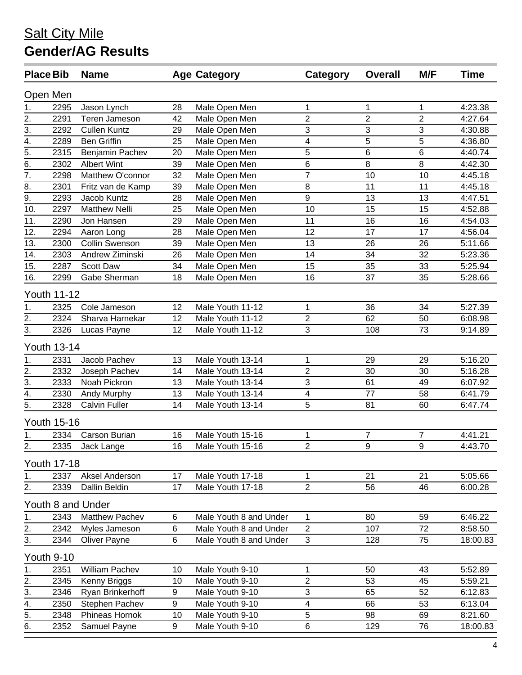|                                               | <b>Place Bib</b>   | <b>Name</b>           |    | <b>Age Category</b>    | Category                 | <b>Overall</b> | M/F            | <b>Time</b> |
|-----------------------------------------------|--------------------|-----------------------|----|------------------------|--------------------------|----------------|----------------|-------------|
|                                               | Open Men           |                       |    |                        |                          |                |                |             |
| 1.                                            | 2295               | Jason Lynch           | 28 | Male Open Men          | 1                        | 1              | 1              | 4:23.38     |
| 2.                                            | 2291               | Teren Jameson         | 42 | Male Open Men          | $\overline{2}$           | $\mathbf 2$    | $\overline{2}$ | 4:27.64     |
| 3.                                            | 2292               | <b>Cullen Kuntz</b>   | 29 | Male Open Men          | 3                        | 3              | 3              | 4:30.88     |
| $\frac{4}{\overline{5}}$ .<br>$\frac{5}{6}$ . | 2289               | <b>Ben Griffin</b>    | 25 | Male Open Men          | $\overline{\mathcal{A}}$ | 5              | 5              | 4:36.80     |
|                                               | 2315               | Benjamin Pachev       | 20 | Male Open Men          | 5                        | 6              | 6              | 4:40.74     |
|                                               | 2302               | <b>Albert Wint</b>    | 39 | Male Open Men          | $6\phantom{1}6$          | 8              | $\, 8$         | 4:42.30     |
| $\frac{1}{7}$                                 | 2298               | Matthew O'connor      | 32 | Male Open Men          | $\overline{7}$           | 10             | 10             | 4:45.18     |
| 8.                                            | 2301               | Fritz van de Kamp     | 39 | Male Open Men          | 8                        | 11             | 11             | 4:45.18     |
| $\overline{9}$ .                              | 2293               | Jacob Kuntz           | 28 | Male Open Men          | 9                        | 13             | 13             | 4:47.51     |
| 10.                                           | 2297               | <b>Matthew Nelli</b>  | 25 | Male Open Men          | 10                       | 15             | 15             | 4:52.88     |
| 11.                                           | 2290               | Jon Hansen            | 29 | Male Open Men          | 11                       | 16             | 16             | 4:54.03     |
| 12.                                           | 2294               | Aaron Long            | 28 | Male Open Men          | 12                       | 17             | 17             | 4:56.04     |
| 13.                                           | 2300               | <b>Collin Swenson</b> | 39 | Male Open Men          | 13                       | 26             | 26             | 5:11.66     |
| 14.                                           | 2303               | Andrew Ziminski       | 26 | Male Open Men          | 14                       | 34             | 32             | 5:23.36     |
| 15.                                           | 2287               | Scott Daw             | 34 | Male Open Men          | 15                       | 35             | 33             | 5:25.94     |
| 16.                                           | 2299               | Gabe Sherman          | 18 | Male Open Men          | 16                       | 37             | 35             | 5:28.66     |
|                                               | <b>Youth 11-12</b> |                       |    |                        |                          |                |                |             |
| 1.                                            | 2325               | Cole Jameson          | 12 | Male Youth 11-12       | $\mathbf{1}$             | 36             | 34             | 5:27.39     |
| 2.                                            | 2324               | Sharva Harnekar       | 12 | Male Youth 11-12       | $\overline{2}$           | 62             | 50             | 6:08.98     |
| 3.                                            | 2326               | Lucas Payne           | 12 | Male Youth 11-12       | 3                        | 108            | 73             | 9:14.89     |
|                                               | <b>Youth 13-14</b> |                       |    |                        |                          |                |                |             |
| 1.                                            | 2331               | Jacob Pachev          | 13 | Male Youth 13-14       | $\mathbf 1$              | 29             | 29             | 5:16.20     |
| 2.                                            | 2332               | Joseph Pachev         | 14 | Male Youth 13-14       | $\overline{2}$           | 30             | 30             | 5:16.28     |
| $\overline{3}$ .                              | 2333               | Noah Pickron          | 13 | Male Youth 13-14       | 3                        | 61             | 49             | 6:07.92     |
| $\overline{4}$ .                              | 2330               | Andy Murphy           | 13 | Male Youth 13-14       | $\overline{4}$           | 77             | 58             | 6:41.79     |
| $\overline{5}$ .                              | 2328               | <b>Calvin Fuller</b>  | 14 | Male Youth 13-14       | 5                        | 81             | 60             | 6:47.74     |
|                                               | <b>Youth 15-16</b> |                       |    |                        |                          |                |                |             |
| 1.                                            | 2334               | Carson Burian         | 16 | Male Youth 15-16       | $\mathbf{1}$             | $\overline{7}$ | $\overline{7}$ | 4:41.21     |
| 2.                                            | 2335               | Jack Lange            | 16 | Male Youth 15-16       | $\mathbf{2}$             | 9              | 9              | 4:43.70     |
|                                               | <b>Youth 17-18</b> |                       |    |                        |                          |                |                |             |
| 1.                                            | 2337               | Aksel Anderson        | 17 | Male Youth 17-18       | $\mathbf 1$              | 21             | 21             | 5:05.66     |
| 2.                                            | 2339               | Dallin Beldin         | 17 | Male Youth 17-18       | $\overline{2}$           | 56             | 46             | 6:00.28     |
|                                               |                    | Youth 8 and Under     |    |                        |                          |                |                |             |
| 1.                                            | 2343               | <b>Matthew Pachev</b> | 6  | Male Youth 8 and Under | $\mathbf{1}$             | 80             | 59             | 6:46.22     |
| 2.                                            | 2342               | Myles Jameson         | 6  | Male Youth 8 and Under | $\overline{2}$           | 107            | 72             | 8:58.50     |
| 3.                                            | 2344               | <b>Oliver Payne</b>   | 6  | Male Youth 8 and Under | $\mathfrak{S}$           | 128            | 75             | 18:00.83    |
|                                               | Youth 9-10         |                       |    |                        |                          |                |                |             |
| 1.                                            | 2351               | <b>William Pachev</b> | 10 | Male Youth 9-10        | 1                        | 50             | 43             | 5:52.89     |
| 2.                                            | 2345               | Kenny Briggs          | 10 | Male Youth 9-10        | $\overline{c}$           | 53             | 45             | 5:59.21     |
| $\overline{3}$ .                              | 2346               | Ryan Brinkerhoff      | 9  | Male Youth 9-10        | 3                        | 65             | 52             | 6:12.83     |
| 4.                                            | 2350               | Stephen Pachev        | 9  | Male Youth 9-10        | $\overline{\mathbf{4}}$  | 66             | 53             | 6:13.04     |
| 5.                                            | 2348               | Phineas Hornok        | 10 | Male Youth 9-10        | 5                        | 98             | 69             | 8:21.60     |
| 6.                                            | 2352               | Samuel Payne          | 9  | Male Youth 9-10        | $\,6$                    | 129            | 76             | 18:00.83    |